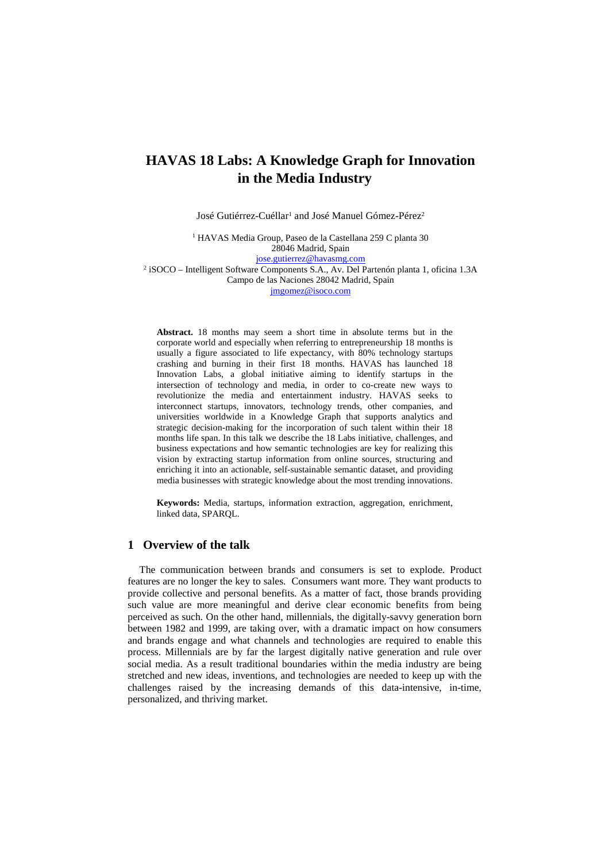## **HAVAS 18 Labs: A Knowledge Graph for Innovation in the Media Industry**

José Gutiérrez-Cuéllar<sup>1</sup> and José Manuel Gómez-Pérez<sup>2</sup>

1 HAVAS Media Group, Paseo de la Castellana 259 C planta 30 28046 Madrid, Spain jose.gutierrez@havasmg.com

2 iSOCO – Intelligent Software Components S.A., Av. Del Partenón planta 1, oficina 1.3A Campo de las Naciones 28042 Madrid, Spain jmgomez@isoco.com

**Abstract.** 18 months may seem a short time in absolute terms but in the corporate world and especially when referring to entrepreneurship 18 months is usually a figure associated to life expectancy, with 80% technology startups crashing and burning in their first 18 months. HAVAS has launched 18 Innovation Labs, a global initiative aiming to identify startups in the intersection of technology and media, in order to co-create new ways to revolutionize the media and entertainment industry. HAVAS seeks to interconnect startups, innovators, technology trends, other companies, and universities worldwide in a Knowledge Graph that supports analytics and strategic decision-making for the incorporation of such talent within their 18 months life span. In this talk we describe the 18 Labs initiative, challenges, and business expectations and how semantic technologies are key for realizing this vision by extracting startup information from online sources, structuring and enriching it into an actionable, self-sustainable semantic dataset, and providing media businesses with strategic knowledge about the most trending innovations.

**Keywords:** Media, startups, information extraction, aggregation, enrichment, linked data, SPARQL.

## **1 Overview of the talk**

The communication between brands and consumers is set to explode. Product features are no longer the key to sales. Consumers want more. They want products to provide collective and personal benefits. As a matter of fact, those brands providing such value are more meaningful and derive clear economic benefits from being perceived as such. On the other hand, millennials, the digitally-savvy generation born between 1982 and 1999, are taking over, with a dramatic impact on how consumers and brands engage and what channels and technologies are required to enable this process. Millennials are by far the largest digitally native generation and rule over social media. As a result traditional boundaries within the media industry are being stretched and new ideas, inventions, and technologies are needed to keep up with the challenges raised by the increasing demands of this data-intensive, in-time, personalized, and thriving market.